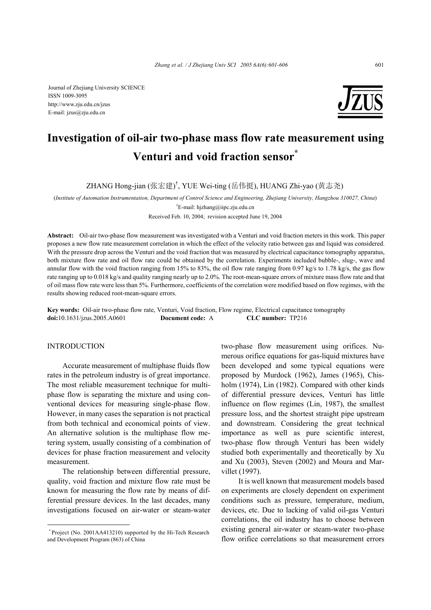Journal of Zhejiang University SCIENCE ISSN 1009-3095 http://www.zju.edu.cn/jzus E-mail: jzus@zju.edu.cn



# **Investigation of oil-air two-phase mass flow rate measurement using Venturi and void fraction sensor\***

ZHANG Hong-jian (张宏建)<sup>†</sup>, YUE Wei-ting (岳伟挺), HUANG Zhi-yao (黄志尧)

(*Institute of Automation Instrumentation, Department of Control Science and Engineering, Zhejiang University, Hangzhou 310027, China*)

† E-mail: hjzhang@iipc.zju.edu.cn

Received Feb. 10, 2004; revision accepted June 19, 2004

**Abstract:** Oil-air two-phase flow measurement was investigated with a Venturi and void fraction meters in this work. This paper proposes a new flow rate measurement correlation in which the effect of the velocity ratio between gas and liquid was considered. With the pressure drop across the Venturi and the void fraction that was measured by electrical capacitance tomography apparatus, both mixture flow rate and oil flow rate could be obtained by the correlation. Experiments included bubble-, slug-, wave and annular flow with the void fraction ranging from 15% to 83%, the oil flow rate ranging from 0.97 kg/s to 1.78 kg/s, the gas flow rate ranging up to 0.018 kg/s and quality ranging nearly up to 2.0%. The root-mean-square errors of mixture mass flow rate and that of oil mass flow rate were less than 5%. Furthermore, coefficients of the correlation were modified based on flow regimes, with the results showing reduced root-mean-square errors.

**Key words:** Oil-air two-phase flow rate, Venturi, Void fraction, Flow regime, Electrical capacitance tomography **doi:**10.1631/jzus.2005.A0601 **Document code:** A **CLC number:** TP216

## **INTRODUCTION**

Accurate measurement of multiphase fluids flow rates in the petroleum industry is of great importance. The most reliable measurement technique for multiphase flow is separating the mixture and using conventional devices for measuring single-phase flow. However, in many cases the separation is not practical from both technical and economical points of view. An alternative solution is the multiphase flow metering system, usually consisting of a combination of devices for phase fraction measurement and velocity measurement.

The relationship between differential pressure, quality, void fraction and mixture flow rate must be known for measuring the flow rate by means of differential pressure devices. In the last decades, many investigations focused on air-water or steam-water

two-phase flow measurement using orifices. Numerous orifice equations for gas-liquid mixtures have been developed and some typical equations were proposed by Murdock (1962), James (1965), Chisholm (1974), Lin (1982). Compared with other kinds of differential pressure devices, Venturi has little influence on flow regimes (Lin, 1987), the smallest pressure loss, and the shortest straight pipe upstream and downstream. Considering the great technical importance as well as pure scientific interest, two-phase flow through Venturi has been widely studied both experimentally and theoretically by Xu and Xu (2003), Steven (2002) and Moura and Marvillet (1997).

 It is well known that measurement models based on experiments are closely dependent on experiment conditions such as pressure, temperature, medium, devices, etc. Due to lacking of valid oil-gas Venturi correlations, the oil industry has to choose between existing general air-water or steam-water two-phase flow orifice correlations so that measurement errors

<sup>\*</sup> Project (No. 2001AA413210) supported by the Hi-Tech Research and Development Program (863) of China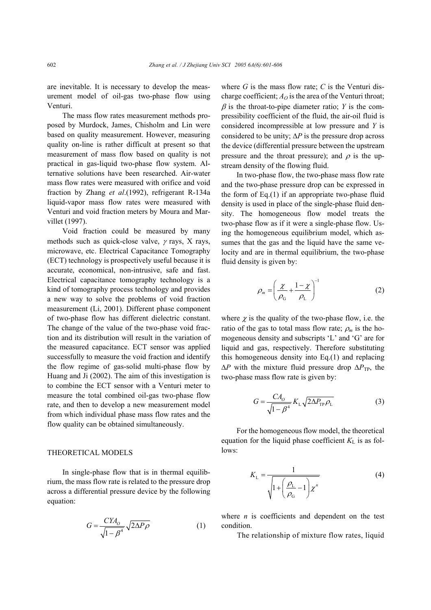are inevitable. It is necessary to develop the measurement model of oil-gas two-phase flow using Venturi.

The mass flow rates measurement methods proposed by Murdock, James, Chisholm and Lin were based on quality measurement. However, measuring quality on-line is rather difficult at present so that measurement of mass flow based on quality is not practical in gas-liquid two-phase flow system. Alternative solutions have been researched. Air-water mass flow rates were measured with orifice and void fraction by Zhang *et al*.(1992), refrigerant R-134a liquid-vapor mass flow rates were measured with Venturi and void fraction meters by Moura and Marvillet (1997).

Void fraction could be measured by many methods such as quick-close valve,  $\gamma$  rays, X rays, microwave, etc. Electrical Capacitance Tomography (ECT) technology is prospectively useful because it is accurate, economical, non-intrusive, safe and fast. Electrical capacitance tomography technology is a kind of tomography process technology and provides a new way to solve the problems of void fraction measurement (Li, 2001). Different phase component of two-phase flow has different dielectric constant. The change of the value of the two-phase void fraction and its distribution will result in the variation of the measured capacitance. ECT sensor was applied successfully to measure the void fraction and identify the flow regime of gas-solid multi-phase flow by Huang and Ji (2002). The aim of this investigation is to combine the ECT sensor with a Venturi meter to measure the total combined oil-gas two-phase flow rate, and then to develop a new measurement model from which individual phase mass flow rates and the flow quality can be obtained simultaneously.

## THEORETICAL MODELS

In single-phase flow that is in thermal equilibrium, the mass flow rate is related to the pressure drop across a differential pressure device by the following equation:

$$
G = \frac{CYA_0}{\sqrt{1 - \beta^4}} \sqrt{2\Delta P \rho}
$$
 (1)

where *G* is the mass flow rate; *C* is the Venturi discharge coefficient;  $A_O$  is the area of the Venturi throat;  $\beta$  is the throat-to-pipe diameter ratio; *Y* is the compressibility coefficient of the fluid, the air-oil fluid is considered incompressible at low pressure and *Y* is considered to be unity; ∆*P* is the pressure drop across the device (differential pressure between the upstream pressure and the throat pressure); and  $\rho$  is the upstream density of the flowing fluid.

In two-phase flow, the two-phase mass flow rate and the two-phase pressure drop can be expressed in the form of Eq.(1) if an appropriate two-phase fluid density is used in place of the single-phase fluid density. The homogeneous flow model treats the two-phase flow as if it were a single-phase flow. Using the homogeneous equilibrium model, which assumes that the gas and the liquid have the same velocity and are in thermal equilibrium, the two-phase fluid density is given by:

$$
\rho_m = \left(\frac{\chi}{\rho_G} + \frac{1-\chi}{\rho_L}\right)^{-1} \tag{2}
$$

where  $\chi$  is the quality of the two-phase flow, i.e. the ratio of the gas to total mass flow rate;  $\rho_m$  is the homogeneous density and subscripts 'L' and 'G' are for liquid and gas, respectively. Therefore substituting this homogeneous density into Eq.(1) and replacing  $\Delta P$  with the mixture fluid pressure drop  $\Delta P_{\text{TP}}$ , the two-phase mass flow rate is given by:

$$
G = \frac{CA_O}{\sqrt{1 - \beta^4}} K_L \sqrt{2\Delta P_{\rm TP} \rho_L}
$$
 (3)

For the homogeneous flow model, the theoretical equation for the liquid phase coefficient  $K<sub>L</sub>$  is as follows:

$$
K_{\rm L} = \frac{1}{\sqrt{1 + \left(\frac{\rho_{\rm L}}{\rho_{\rm G}} - 1\right) \chi^n}}
$$
(4)

where *n* is coefficients and dependent on the test condition.

The relationship of mixture flow rates, liquid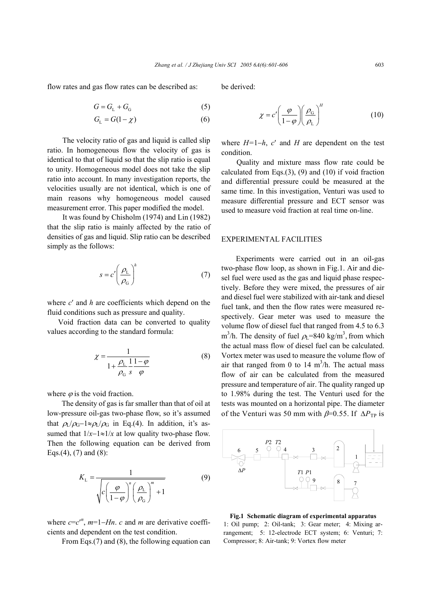flow rates and gas flow rates can be described as:

$$
G = GL + GG
$$
 (5)

$$
G_{\rm L} = G(1 - \chi) \tag{6}
$$

The velocity ratio of gas and liquid is called slip ratio. In homogeneous flow the velocity of gas is identical to that of liquid so that the slip ratio is equal to unity. Homogeneous model does not take the slip ratio into account. In many investigation reports, the velocities usually are not identical, which is one of main reasons why homogeneous model caused measurement error. This paper modified the model.

It was found by Chisholm (1974) and Lin (1982) that the slip ratio is mainly affected by the ratio of densities of gas and liquid. Slip ratio can be described simply as the follows:

$$
s = c' \left(\frac{\rho_{\rm L}}{\rho_{\rm G}}\right)^h \tag{7}
$$

where *c*′ and *h* are coefficients which depend on the fluid conditions such as pressure and quality.

Void fraction data can be converted to quality values according to the standard formula:

$$
\chi = \frac{1}{1 + \frac{\rho_L}{\rho_G} \frac{1}{s} \frac{1 - \varphi}{\varphi}}
$$
(8)

where  $\varphi$  is the void fraction.

The density of gas is far smaller than that of oil at low-pressure oil-gas two-phase flow, so it's assumed that  $\rho_L/\rho_G-1 \approx \rho_L/\rho_G$  in Eq.(4). In addition, it's assumed that  $1/x-1 \approx 1/x$  at low quality two-phase flow. Then the following equation can be derived from Eqs.(4), (7) and (8):

$$
K_{\rm L} = \frac{1}{\sqrt{c\left(\frac{\varphi}{1-\varphi}\right)^n \left(\frac{\rho_{\rm L}}{\rho_{\rm G}}\right)^m + 1}}\tag{9}
$$

where  $c = c''$ ,  $m=1-Hn$ . *c* and *m* are derivative coefficients and dependent on the test condition.

From Eqs.(7) and (8), the following equation can

be derived:

$$
\chi = c' \left(\frac{\varphi}{1-\varphi}\right) \left(\frac{\rho_{\rm G}}{\rho_{\rm L}}\right)^H \tag{10}
$$

where *H=*1−*h*, *c*′ and *H* are dependent on the test condition.

Quality and mixture mass flow rate could be calculated from Eqs. $(3)$ ,  $(9)$  and  $(10)$  if void fraction and differential pressure could be measured at the same time. In this investigation, Venturi was used to measure differential pressure and ECT sensor was used to measure void fraction at real time on-line.

#### EXPERIMENTAL FACILITIES

Experiments were carried out in an oil-gas two-phase flow loop, as shown in Fig.1. Air and diesel fuel were used as the gas and liquid phase respectively. Before they were mixed, the pressures of air and diesel fuel were stabilized with air-tank and diesel fuel tank, and then the flow rates were measured respectively. Gear meter was used to measure the volume flow of diesel fuel that ranged from 4.5 to 6.3 m<sup>3</sup>/h. The density of fuel  $\rho_L$ =840 kg/m<sup>3</sup>, from which the actual mass flow of diesel fuel can be calculated. Vortex meter was used to measure the volume flow of air that ranged from 0 to 14  $\text{m}^3$ /h. The actual mass flow of air can be calculated from the measured pressure and temperature of air. The quality ranged up to 1.98% during the test. The Venturi used for the tests was mounted on a horizontal pipe. The diameter of the Venturi was 50 mm with  $\beta$ =0.55. If  $\Delta P_{TP}$  is



**Fig.1 Schematic diagram of experimental apparatus** 1: Oil pump; 2: Oil-tank; 3: Gear meter; 4: Mixing arrangement; 5: 12-electrode ECT system; 6: Venturi; 7: Compressor; 8: Air-tank; 9: Vortex flow meter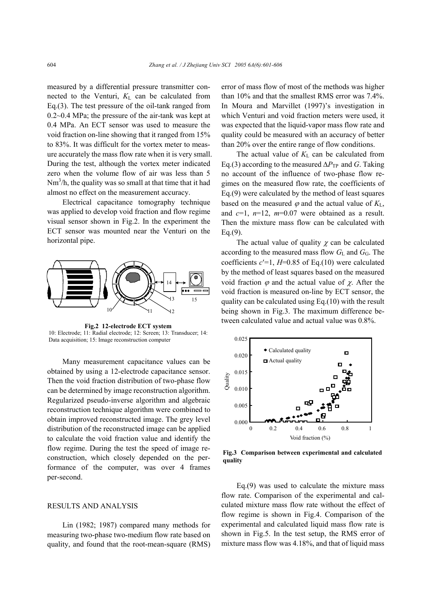measured by a differential pressure transmitter connected to the Venturi,  $K<sub>L</sub>$  can be calculated from Eq.(3). The test pressure of the oil-tank ranged from 0.2~0.4 MPa; the pressure of the air-tank was kept at 0.4 MPa. An ECT sensor was used to measure the void fraction on-line showing that it ranged from 15% to 83%. It was difficult for the vortex meter to measure accurately the mass flow rate when it is very small. During the test, although the vortex meter indicated zero when the volume flow of air was less than 5  $Nm<sup>3</sup>/h$ , the quality was so small at that time that it had almost no effect on the measurement accuracy.

Electrical capacitance tomography technique was applied to develop void fraction and flow regime visual sensor shown in Fig.2. In the experiment the ECT sensor was mounted near the Venturi on the horizontal pipe.



**Fig.2 12-electrode ECT system**  10: Electrode; 11: Radial electrode; 12: Screen; 13: Transducer; 14: Data acquisition; 15: Image reconstruction computer

Many measurement capacitance values can be obtained by using a 12-electrode capacitance sensor. Then the void fraction distribution of two-phase flow can be determined by image reconstruction algorithm. Regularized pseudo-inverse algorithm and algebraic reconstruction technique algorithm were combined to obtain improved reconstructed image. The grey level distribution of the reconstructed image can be applied to calculate the void fraction value and identify the flow regime. During the test the speed of image reconstruction, which closely depended on the performance of the computer, was over 4 frames per-second.

#### RESULTS AND ANALYSIS

Lin (1982; 1987) compared many methods for measuring two-phase two-medium flow rate based on quality, and found that the root-mean-square (RMS) error of mass flow of most of the methods was higher than 10% and that the smallest RMS error was 7.4%. In Moura and Marvillet (1997)'s investigation in which Venturi and void fraction meters were used, it was expected that the liquid-vapor mass flow rate and quality could be measured with an accuracy of better than 20% over the entire range of flow conditions.

The actual value of  $K<sub>L</sub>$  can be calculated from Eq.(3) according to the measured  $\Delta P_{\text{TP}}$  and *G*. Taking no account of the influence of two-phase flow regimes on the measured flow rate, the coefficients of Eq.(9) were calculated by the method of least squares based on the measured  $\varphi$  and the actual value of  $K_L$ , and  $c=1$ ,  $n=12$ ,  $m=0.07$  were obtained as a result. Then the mixture mass flow can be calculated with Eq.(9).

The actual value of quality  $\chi$  can be calculated according to the measured mass flow  $G<sub>L</sub>$  and  $G<sub>G</sub>$ . The coefficients  $c'=1$ ,  $H=0.85$  of Eq.(10) were calculated by the method of least squares based on the measured void fraction  $\varphi$  and the actual value of  $\chi$ . After the void fraction is measured on-line by ECT sensor, the quality can be calculated using Eq.(10) with the result being shown in Fig.3. The maximum difference between calculated value and actual value was 0.8%.



**Fig.3 Comparison between experimental and calculated quality**

Eq.(9) was used to calculate the mixture mass flow rate. Comparison of the experimental and calculated mixture mass flow rate without the effect of flow regime is shown in Fig.4. Comparison of the experimental and calculated liquid mass flow rate is shown in Fig.5. In the test setup, the RMS error of mixture mass flow was 4.18%, and that of liquid mass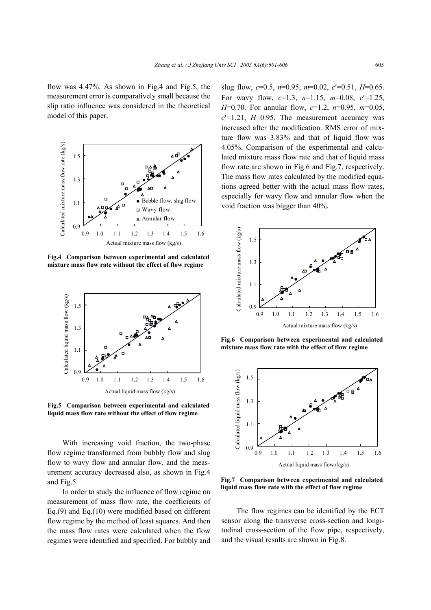flow was 4.47%. As shown in Fig.4 and Fig.5, the measurement error is comparatively small because the slip ratio influence was considered in the theoretical model of this paper.



**Fig.4 Comparison between experimental and calculated**



**Fig.5 Comparison between experimental and calculated** 

With increasing void fraction, the two-phase flow regime transformed from bubbly flow and slug flow to wavy flow and annular flow, and the measurement accuracy decreased also, as shown in Fig.4 and Fig.5.

In order to study the influence of flow regime on measurement of mass flow rate, the coefficients of Eq.(9) and Eq.(10) were modified based on different flow regime by the method of least squares. And then the mass flow rates were calculated when the flow regimes were identified and specified. For bubbly and slug flow, *c*=0.5, *n*=0.95, *m*=0.02, *c*′=0.51, *H*=0.65. For wavy flow, *c*=1.3, *n*=1.15, *m*=0.08, *c*′=1.25, *H*=0.70. For annular flow, *c*=1.2, *n*=0.95, *m*=0.05,  $c'=1.21$ ,  $H=0.95$ . The measurement accuracy was increased after the modification. RMS error of mixture flow was 3.83% and that of liquid flow was 4.05%. Comparison of the experimental and calculated mixture mass flow rate and that of liquid mass flow rate are shown in Fig.6 and Fig.7, respectively. The mass flow rates calculated by the modified equations agreed better with the actual mass flow rates, especially for wavy flow and annular flow when the void fraction was bigger than 40%.



**Fig.6 Comparison between experimental and calculated**



**Fig.7 Comparison between experimental and calculated**

The flow regimes can be identified by the ECT sensor along the transverse cross-section and longitudinal cross-section of the flow pipe, respectively, and the visual results are shown in Fig.8.